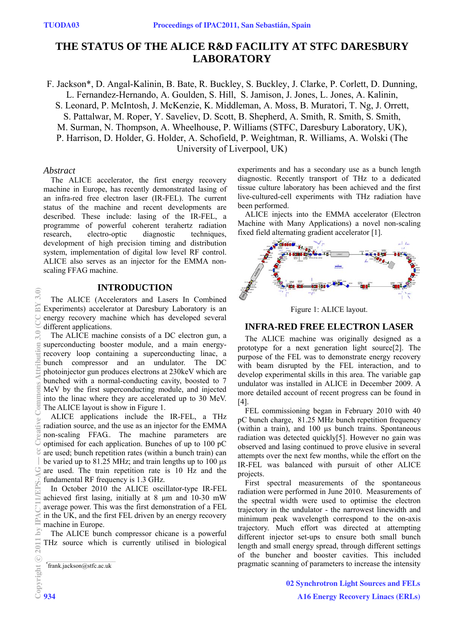# **THE STATUS OF THE ALICE R&D FACILITY AT STFC DARESBURY LABORATORY**

F. Jackson\*, D. Angal-Kalinin, B. Bate, R. Buckley, S. Buckley, J. Clarke, P. Corlett, D. Dunning, L. Fernandez-Hernando, A. Goulden, S. Hill, S. Jamison, J. Jones, L. Jones, A. Kalinin, S. Leonard, P. McIntosh, J. McKenzie, K. Middleman, A. Moss, B. Muratori, T. Ng, J. Orrett, S. Pattalwar, M. Roper, Y. Saveliev, D. Scott, B. Shepherd, A. Smith, R. Smith, S. Smith, M. Surman, N. Thompson, A. Wheelhouse, P. Williams (STFC, Daresbury Laboratory, UK), P. Harrison, D. Holder, G. Holder, A. Schofield, P. Weightman, R. Williams, A. Wolski (The University of Liverpool, UK)

### *Abstract*

The ALICE accelerator, the first energy recovery machine in Europe, has recently demonstrated lasing of an infra-red free electron laser (IR-FEL). The current status of the machine and recent developments are described. These include: lasing of the IR-FEL, a programme of powerful coherent terahertz radiation research, electro-optic diagnostic techniques, development of high precision timing and distribution system, implementation of digital low level RF control. ALICE also serves as an injector for the EMMA nonscaling FFAG machine.

### **INTRODUCTION**

The ALICE (Accelerators and Lasers In Combined Experiments) accelerator at Daresbury Laboratory is an energy recovery machine which has developed several different applications.

The ALICE machine consists of a DC electron gun, a superconducting booster module, and a main energyrecovery loop containing a superconducting linac, a bunch compressor and an undulator. The DC photoinjector gun produces electrons at 230keV which are bunched with a normal-conducting cavity, boosted to 7 MeV by the first superconducting module, and injected into the linac where they are accelerated up to 30 MeV. The ALICE layout is show in Figure 1.

ALICE applications include the IR-FEL, a THz radiation source, and the use as an injector for the EMMA non-scaling FFAG.. The machine parameters are optimised for each application. Bunches of up to 100 pC are used; bunch repetition rates (within a bunch train) can be varied up to 81.25 MHz; and train lengths up to 100 μs are used. The train repetition rate is 10 Hz and the fundamental RF frequency is 1.3 GHz.

In October 2010 the ALICE oscillator-type IR-FEL achieved first lasing, initially at 8 μm and 10-30 mW average power. This was the first demonstration of a FEL in the UK, and the first FEL driven by an energy recovery machine in Europe.

The ALICE bunch compressor chicane is a powerful THz source which is currently utilised in biological experiments and has a secondary use as a bunch length diagnostic. Recently transport of THz to a dedicated tissue culture laboratory has been achieved and the first live-cultured-cell experiments with THz radiation have been performed.

ALICE injects into the EMMA accelerator (Electron Machine with Many Applications) a novel non-scaling fixed field alternating gradient accelerator [1].



Figure 1: ALICE layout.

### **INFRA-RED FREE ELECTRON LASER**

The ALICE machine was originally designed as a prototype for a next generation light source[2]. The purpose of the FEL was to demonstrate energy recovery with beam disrupted by the FEL interaction, and to develop experimental skills in this area. The variable gap undulator was installed in ALICE in December 2009. A more detailed account of recent progress can be found in [4].

FEL commissioning began in February 2010 with 40 pC bunch charge, 81.25 MHz bunch repetition frequency (within a train), and 100 μs bunch trains. Spontaneous radiation was detected quickly[5]. However no gain was observed and lasing continued to prove elusive in several attempts over the next few months, while the effort on the IR-FEL was balanced with pursuit of other ALICE projects.

First spectral measurements of the spontaneous radiation were performed in June 2010. Measurements of the spectral width were used to optimise the electron trajectory in the undulator - the narrowest linewidth and minimum peak wavelength correspond to the on-axis trajectory. Much effort was directed at attempting different injector set-ups to ensure both small bunch length and small energy spread, through different settings of the buncher and booster cavities. This included pragmatic scanning of parameters to increase the intensity

<sup>\*</sup> frank.jackson@stfc.ac.uk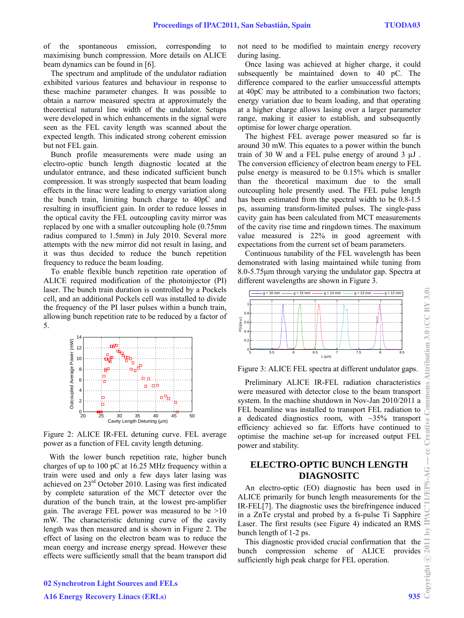of the spontaneous emission, corresponding to maximising bunch compression. More details on ALICE beam dynamics can be found in [6].

The spectrum and amplitude of the undulator radiation exhibited various features and behaviour in response to these machine parameter changes. It was possible to obtain a narrow measured spectra at approximately the theoretical natural line width of the undulator. Setups were developed in which enhancements in the signal were seen as the FEL cavity length was scanned about the expected length. This indicated strong coherent emission but not FEL gain.

Bunch profile measurements were made using an electro-optic bunch length diagnostic located at the undulator entrance, and these indicated sufficient bunch compression. It was strongly suspected that beam loading effects in the linac were leading to energy variation along the bunch train, limiting bunch charge to 40pC and resulting in insufficient gain. In order to reduce losses in the optical cavity the FEL outcoupling cavity mirror was replaced by one with a smaller outcoupling hole (0.75mm radius compared to 1.5mm) in July 2010. Several more attempts with the new mirror did not result in lasing, and it was thus decided to reduce the bunch repetition frequency to reduce the beam loading.

To enable flexible bunch repetition rate operation of ALICE required modification of the photoinjector (PI) laser. The bunch train duration is controlled by a Pockels cell, and an additional Pockels cell was installed to divide the frequency of the PI laser pulses within a bunch train, allowing bunch repetition rate to be reduced by a factor of 5.



Figure 2: ALICE IR-FEL detuning curve. FEL average power as a function of FEL cavity length detuning.

 With the lower bunch repetition rate, higher bunch charges of up to 100 pC at 16.25 MHz frequency within a train were used and only a few days later lasing was achieved on 23rd October 2010. Lasing was first indicated by complete saturation of the MCT detector over the duration of the bunch train, at the lowest pre-amplifier gain. The average FEL power was measured to be >10 mW. The characteristic detuning curve of the cavity length was then measured and is shown in Figure 2. The effect of lasing on the electron beam was to reduce the mean energy and increase energy spread. However these effects were sufficiently small that the beam transport did

not need to be modified to maintain energy recovery during lasing.

Once lasing was achieved at higher charge, it could subsequently be maintained down to 40 pC. The difference compared to the earlier unsuccessful attempts at 40pC may be attributed to a combination two factors; energy variation due to beam loading, and that operating at a higher charge allows lasing over a larger parameter range, making it easier to establish, and subsequently optimise for lower charge operation.

The highest FEL average power measured so far is around 30 mW. This equates to a power within the bunch train of 30 W and a FEL pulse energy of around 3 µJ . The conversion efficiency of electron beam energy to FEL pulse energy is measured to be 0.15% which is smaller than the theoretical maximum due to the small outcoupling hole presently used. The FEL pulse length has been estimated from the spectral width to be  $0.8-1.5$ ps, assuming transform-limited pulses. The single-pass cavity gain has been calculated from MCT measurements of the cavity rise time and ringdown times. The maximum value measured is 22% in good agreement with expectations from the current set of beam parameters.

Continuous tunability of the FEL wavelength has been demonstrated with lasing maintained while tuning from 8.0-5.75μm through varying the undulator gap. Spectra at different wavelengths are shown in Figure 3.



Figure 3: ALICE FEL spectra at different undulator gaps.

Preliminary ALICE IR-FEL radiation characteristics were measured with detector close to the beam transport system. In the machine shutdown in Nov-Jan 2010/2011 a FEL beamline was installed to transport FEL radiation to a dedicated diagnostics room, with  $\sim$ 35% transport efficiency achieved so far. Efforts have continued to optimise the machine set-up for increased output FEL power and stability.

## **ELECTRO-OPTIC BUNCH LENGTH DIAGNOSITC**

An electro-optic (EO) diagnostic has been used in ALICE primarily for bunch length measurements for the IR-FEL[7]. The diagnostic uses the birefringence induced in a ZnTe crystal and probed by a fs-pulse Ti Sapphire Laser. The first results (see Figure 4) indicated an RMS bunch length of 1-2 ps.

This diagnostic provided crucial confirmation that the bunch compression scheme of ALICE provides sufficiently high peak charge for FEL operation.